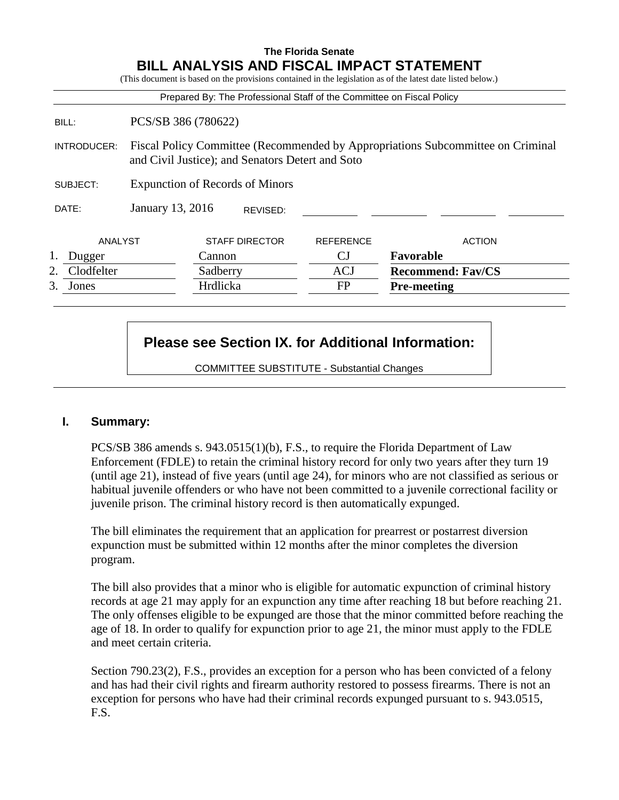# **The Florida Senate BILL ANALYSIS AND FISCAL IMPACT STATEMENT**

|             |                                        |          |                       | Prepared By: The Professional Staff of the Committee on Fiscal Policy |                                                                                 |
|-------------|----------------------------------------|----------|-----------------------|-----------------------------------------------------------------------|---------------------------------------------------------------------------------|
| BILL:       | PCS/SB 386 (780622)                    |          |                       |                                                                       |                                                                                 |
| INTRODUCER: |                                        |          |                       | and Civil Justice); and Senators Detert and Soto                      | Fiscal Policy Committee (Recommended by Appropriations Subcommittee on Criminal |
| SUBJECT:    | <b>Expunction of Records of Minors</b> |          |                       |                                                                       |                                                                                 |
| DATE:       | January 13, 2016                       |          | REVISED:              |                                                                       |                                                                                 |
| ANALYST     |                                        |          | <b>STAFF DIRECTOR</b> | <b>REFERENCE</b>                                                      | <b>ACTION</b>                                                                   |
| Dugger      |                                        | Cannon   |                       | <b>CJ</b>                                                             | Favorable                                                                       |
| Clodfelter  |                                        | Sadberry |                       | <b>ACJ</b>                                                            | <b>Recommend: Fav/CS</b>                                                        |
| 3.<br>Jones |                                        | Hrdlicka |                       | <b>FP</b>                                                             | <b>Pre-meeting</b>                                                              |

# **Please see Section IX. for Additional Information:**

COMMITTEE SUBSTITUTE - Substantial Changes

## **I. Summary:**

PCS/SB 386 amends s. 943.0515(1)(b), F.S., to require the Florida Department of Law Enforcement (FDLE) to retain the criminal history record for only two years after they turn 19 (until age 21), instead of five years (until age 24), for minors who are not classified as serious or habitual juvenile offenders or who have not been committed to a juvenile correctional facility or juvenile prison. The criminal history record is then automatically expunged.

The bill eliminates the requirement that an application for prearrest or postarrest diversion expunction must be submitted within 12 months after the minor completes the diversion program.

The bill also provides that a minor who is eligible for automatic expunction of criminal history records at age 21 may apply for an expunction any time after reaching 18 but before reaching 21. The only offenses eligible to be expunged are those that the minor committed before reaching the age of 18. In order to qualify for expunction prior to age 21, the minor must apply to the FDLE and meet certain criteria.

Section 790.23(2), F.S., provides an exception for a person who has been convicted of a felony and has had their civil rights and firearm authority restored to possess firearms. There is not an exception for persons who have had their criminal records expunged pursuant to s. 943.0515, F.S.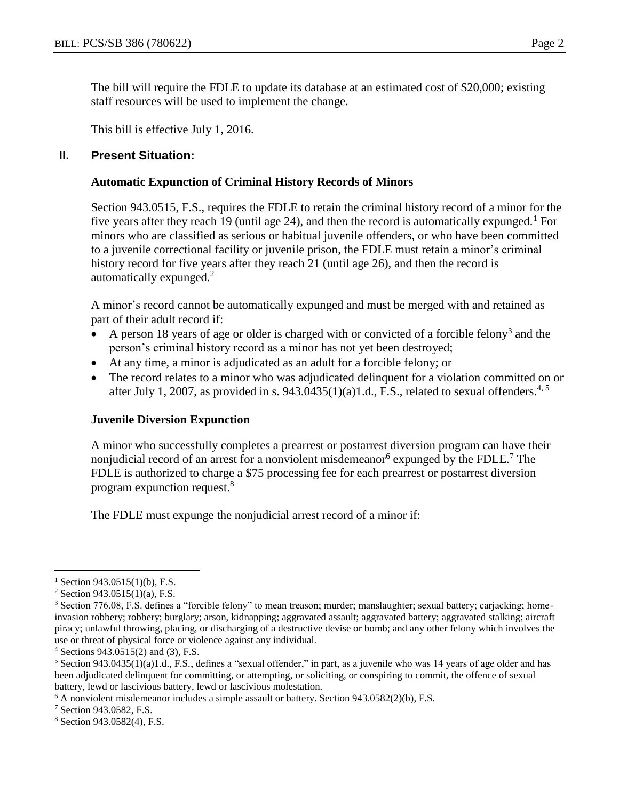The bill will require the FDLE to update its database at an estimated cost of \$20,000; existing staff resources will be used to implement the change.

This bill is effective July 1, 2016.

## **II. Present Situation:**

#### **Automatic Expunction of Criminal History Records of Minors**

Section 943.0515, F.S., requires the FDLE to retain the criminal history record of a minor for the five years after they reach 19 (until age 24), and then the record is automatically expunged.<sup>1</sup> For minors who are classified as serious or habitual juvenile offenders, or who have been committed to a juvenile correctional facility or juvenile prison, the FDLE must retain a minor's criminal history record for five years after they reach 21 (until age 26), and then the record is automatically expunged.<sup>2</sup>

A minor's record cannot be automatically expunged and must be merged with and retained as part of their adult record if:

- A person 18 years of age or older is charged with or convicted of a forcible felony<sup>3</sup> and the person's criminal history record as a minor has not yet been destroyed;
- At any time, a minor is adjudicated as an adult for a forcible felony; or
- The record relates to a minor who was adjudicated delinquent for a violation committed on or after July 1, 2007, as provided in s. 943.0435(1)(a)1.d., F.S., related to sexual offenders.<sup>4, 5</sup>

## **Juvenile Diversion Expunction**

A minor who successfully completes a prearrest or postarrest diversion program can have their nonjudicial record of an arrest for a nonviolent misdemeanor  $6$  expunged by the FDLE.<sup>7</sup> The FDLE is authorized to charge a \$75 processing fee for each prearrest or postarrest diversion program expunction request.<sup>8</sup>

The FDLE must expunge the nonjudicial arrest record of a minor if:

 $\overline{a}$ 

 $1$  Section 943.0515(1)(b), F.S.

 $2$  Section 943.0515(1)(a), F.S.

<sup>3</sup> Section 776.08, F.S. defines a "forcible felony" to mean treason; murder; manslaughter; sexual battery; carjacking; homeinvasion robbery; robbery; burglary; arson, kidnapping; aggravated assault; aggravated battery; aggravated stalking; aircraft piracy; unlawful throwing, placing, or discharging of a destructive devise or bomb; and any other felony which involves the use or threat of physical force or violence against any individual.

 $4$  Sections 943.0515(2) and (3), F.S.

 $5$  Section 943.0435(1)(a)1.d., F.S., defines a "sexual offender," in part, as a juvenile who was 14 years of age older and has been adjudicated delinquent for committing, or attempting, or soliciting, or conspiring to commit, the offence of sexual battery, lewd or lascivious battery, lewd or lascivious molestation.

 $6$  A nonviolent misdemeanor includes a simple assault or battery. Section 943.0582(2)(b), F.S.

<sup>7</sup> Section 943.0582, F.S.

<sup>8</sup> Section 943.0582(4), F.S.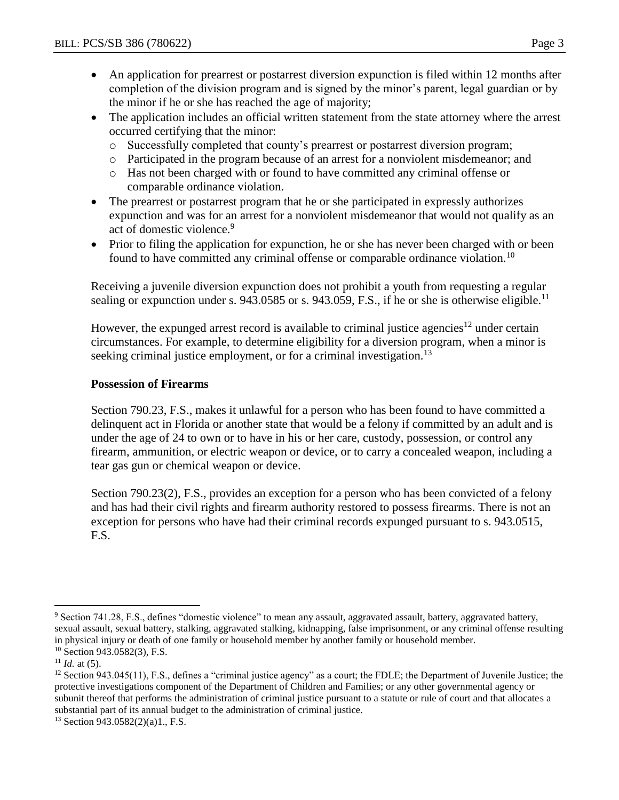- An application for prearrest or postarrest diversion expunction is filed within 12 months after completion of the division program and is signed by the minor's parent, legal guardian or by the minor if he or she has reached the age of majority;
- The application includes an official written statement from the state attorney where the arrest occurred certifying that the minor:
	- o Successfully completed that county's prearrest or postarrest diversion program;
	- o Participated in the program because of an arrest for a nonviolent misdemeanor; and
	- o Has not been charged with or found to have committed any criminal offense or comparable ordinance violation.
- The prearrest or postarrest program that he or she participated in expressly authorizes expunction and was for an arrest for a nonviolent misdemeanor that would not qualify as an act of domestic violence.<sup>9</sup>
- Prior to filing the application for expunction, he or she has never been charged with or been found to have committed any criminal offense or comparable ordinance violation.<sup>10</sup>

Receiving a juvenile diversion expunction does not prohibit a youth from requesting a regular sealing or expunction under s. 943.0585 or s. 943.059, F.S., if he or she is otherwise eligible.<sup>11</sup>

However, the expunged arrest record is available to criminal justice agencies<sup>12</sup> under certain circumstances. For example, to determine eligibility for a diversion program, when a minor is seeking criminal justice employment, or for a criminal investigation.<sup>13</sup>

## **Possession of Firearms**

Section 790.23, F.S., makes it unlawful for a person who has been found to have committed a delinquent act in Florida or another state that would be a felony if committed by an adult and is under the age of 24 to own or to have in his or her care, custody, possession, or control any firearm, ammunition, or electric weapon or device, or to carry a concealed weapon, including a tear gas gun or chemical weapon or device.

Section 790.23(2), F.S., provides an exception for a person who has been convicted of a felony and has had their civil rights and firearm authority restored to possess firearms. There is not an exception for persons who have had their criminal records expunged pursuant to s. 943.0515, F.S.

 $\overline{a}$ 

<sup>9</sup> Section 741.28, F.S., defines "domestic violence" to mean any assault, aggravated assault, battery, aggravated battery, sexual assault, sexual battery, stalking, aggravated stalking, kidnapping, false imprisonment, or any criminal offense resulting in physical injury or death of one family or household member by another family or household member.

 $10$  Section 943.0582(3), F.S.

 $11$  *Id.* at (5).

 $12$  Section 943.045(11), F.S., defines a "criminal justice agency" as a court; the FDLE; the Department of Juvenile Justice; the protective investigations component of the Department of Children and Families; or any other governmental agency or subunit thereof that performs the administration of criminal justice pursuant to a statute or rule of court and that allocates a substantial part of its annual budget to the administration of criminal justice.

 $13$  Section 943.0582(2)(a)1., F.S.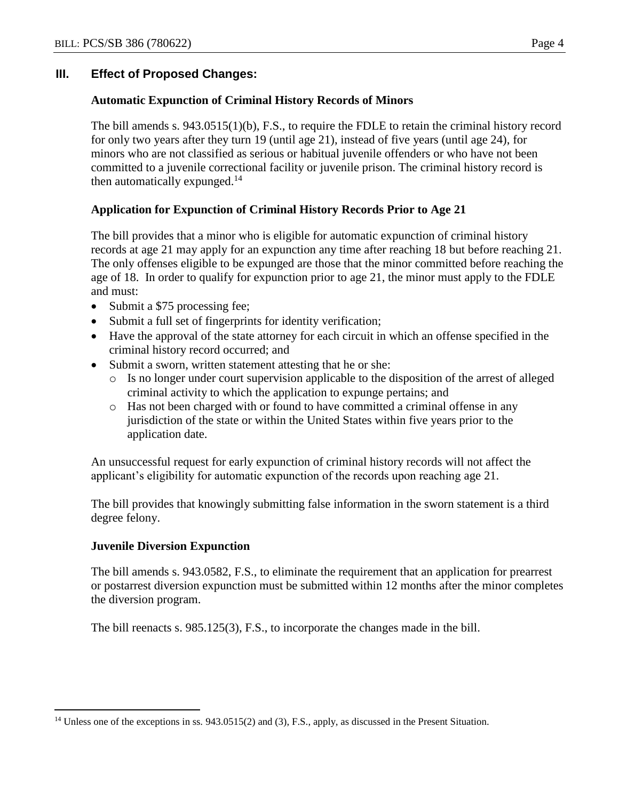# **III. Effect of Proposed Changes:**

## **Automatic Expunction of Criminal History Records of Minors**

The bill amends s. 943.0515(1)(b), F.S., to require the FDLE to retain the criminal history record for only two years after they turn 19 (until age 21), instead of five years (until age 24), for minors who are not classified as serious or habitual juvenile offenders or who have not been committed to a juvenile correctional facility or juvenile prison. The criminal history record is then automatically expunged.<sup>14</sup>

# **Application for Expunction of Criminal History Records Prior to Age 21**

The bill provides that a minor who is eligible for automatic expunction of criminal history records at age 21 may apply for an expunction any time after reaching 18 but before reaching 21. The only offenses eligible to be expunged are those that the minor committed before reaching the age of 18. In order to qualify for expunction prior to age 21, the minor must apply to the FDLE and must:

- Submit a \$75 processing fee;
- Submit a full set of fingerprints for identity verification;
- Have the approval of the state attorney for each circuit in which an offense specified in the criminal history record occurred; and
- Submit a sworn, written statement attesting that he or she:
	- o Is no longer under court supervision applicable to the disposition of the arrest of alleged criminal activity to which the application to expunge pertains; and
	- o Has not been charged with or found to have committed a criminal offense in any jurisdiction of the state or within the United States within five years prior to the application date.

An unsuccessful request for early expunction of criminal history records will not affect the applicant's eligibility for automatic expunction of the records upon reaching age 21.

The bill provides that knowingly submitting false information in the sworn statement is a third degree felony.

## **Juvenile Diversion Expunction**

The bill amends s. 943.0582, F.S., to eliminate the requirement that an application for prearrest or postarrest diversion expunction must be submitted within 12 months after the minor completes the diversion program.

The bill reenacts s. 985.125(3), F.S., to incorporate the changes made in the bill.

 $\overline{a}$ <sup>14</sup> Unless one of the exceptions in ss. 943.0515(2) and (3), F.S., apply, as discussed in the Present Situation.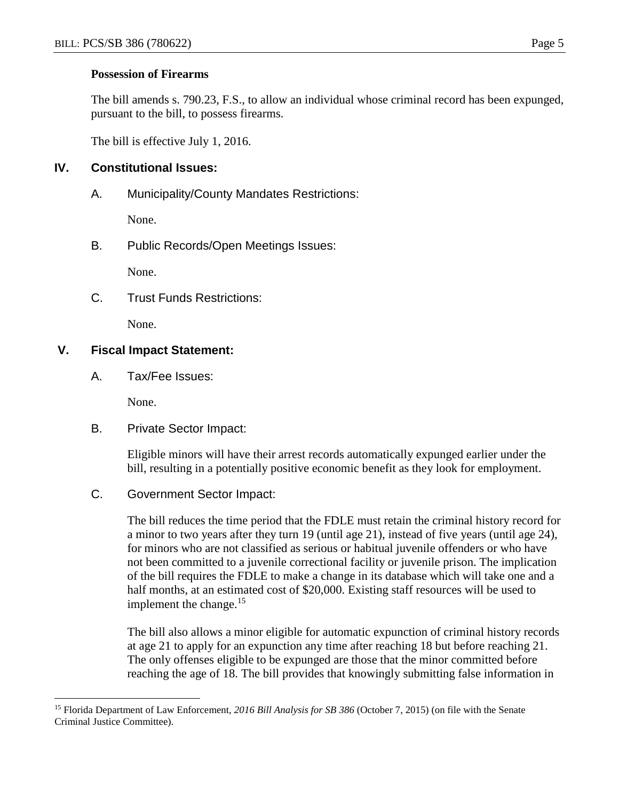#### **Possession of Firearms**

The bill amends s. 790.23, F.S., to allow an individual whose criminal record has been expunged, pursuant to the bill, to possess firearms.

The bill is effective July 1, 2016.

# **IV. Constitutional Issues:**

A. Municipality/County Mandates Restrictions:

None.

B. Public Records/Open Meetings Issues:

None.

C. Trust Funds Restrictions:

None.

# **V. Fiscal Impact Statement:**

A. Tax/Fee Issues:

None.

 $\overline{a}$ 

B. Private Sector Impact:

Eligible minors will have their arrest records automatically expunged earlier under the bill, resulting in a potentially positive economic benefit as they look for employment.

C. Government Sector Impact:

The bill reduces the time period that the FDLE must retain the criminal history record for a minor to two years after they turn 19 (until age 21), instead of five years (until age 24), for minors who are not classified as serious or habitual juvenile offenders or who have not been committed to a juvenile correctional facility or juvenile prison. The implication of the bill requires the FDLE to make a change in its database which will take one and a half months, at an estimated cost of \$20,000. Existing staff resources will be used to implement the change. $15$ 

The bill also allows a minor eligible for automatic expunction of criminal history records at age 21 to apply for an expunction any time after reaching 18 but before reaching 21. The only offenses eligible to be expunged are those that the minor committed before reaching the age of 18. The bill provides that knowingly submitting false information in

<sup>15</sup> Florida Department of Law Enforcement, *2016 Bill Analysis for SB 386* (October 7, 2015) (on file with the Senate Criminal Justice Committee).